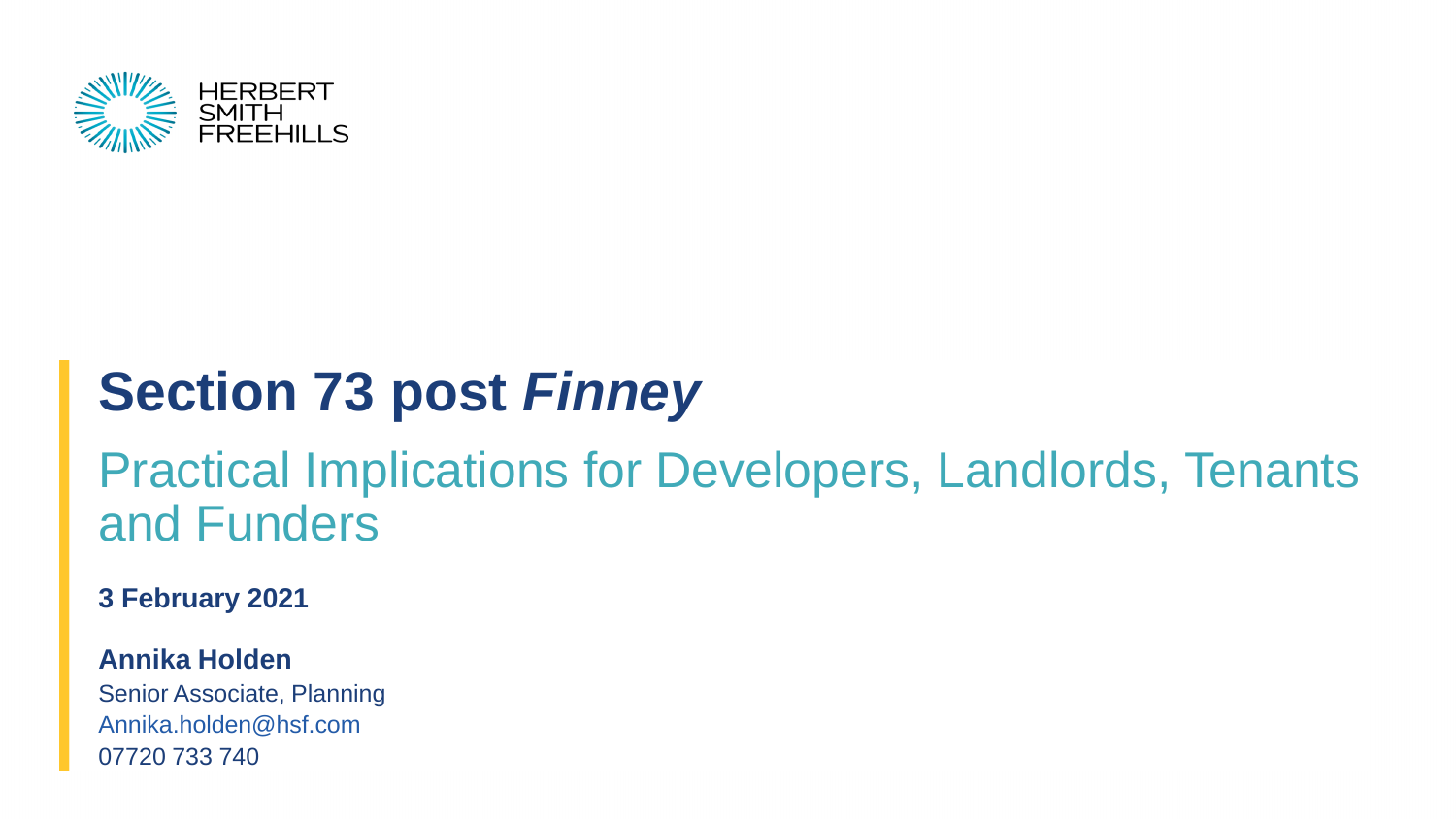

# **Section 73 post** *Finney*

#### Practical Implications for Developers, Landlords, Tenants and Funders

**3 February 2021**

**Annika Holden**

Senior Associate, Planning [Annika.holden@hsf.com](mailto:matthew.white@hsf.com) 07720 733 740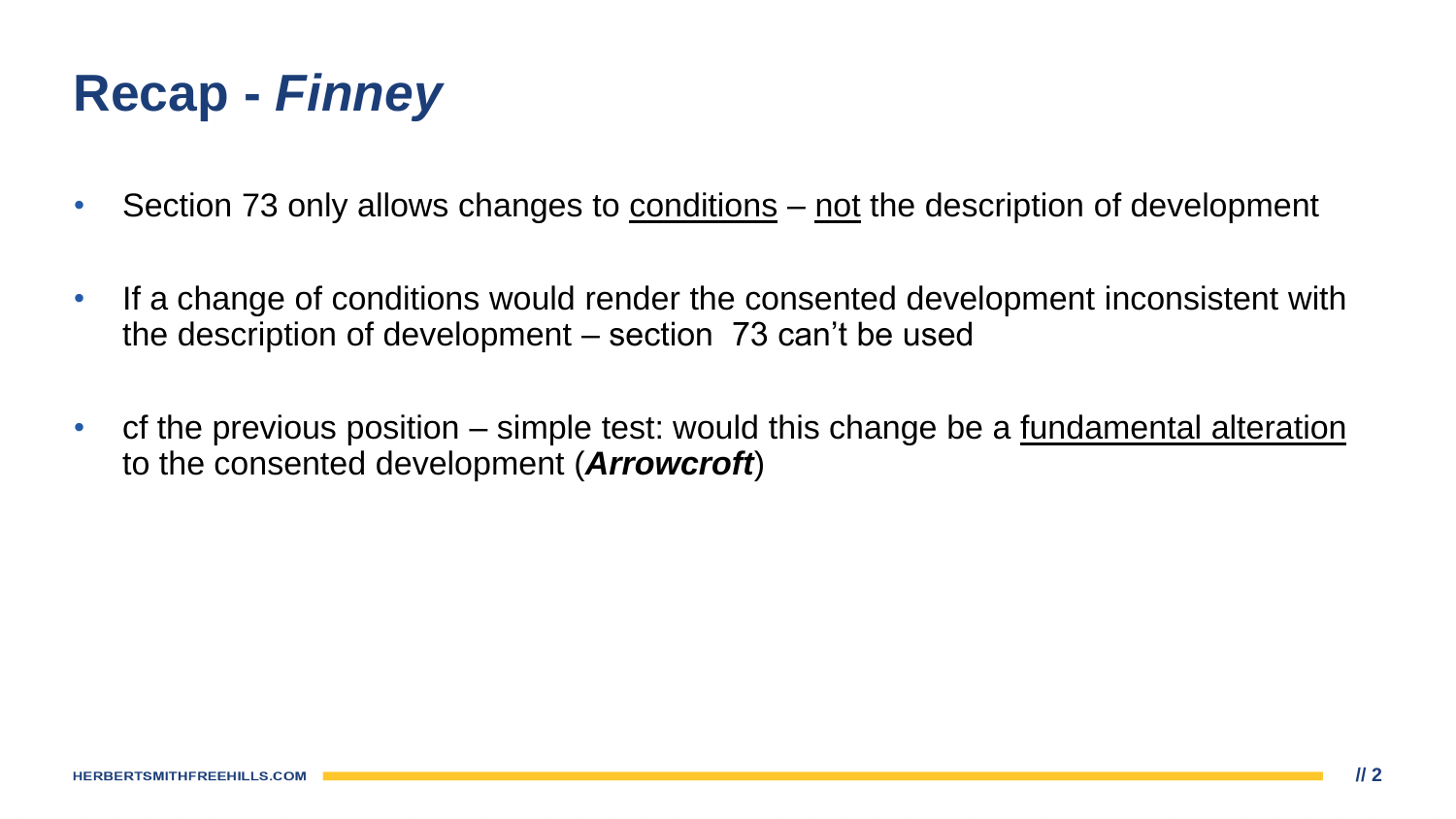- Section 73 only allows changes to conditions not the description of development
- If a change of conditions would render the consented development inconsistent with the description of development – section 73 can't be used
- cf the previous position simple test: would this change be a fundamental alteration to the consented development (*Arrowcroft*)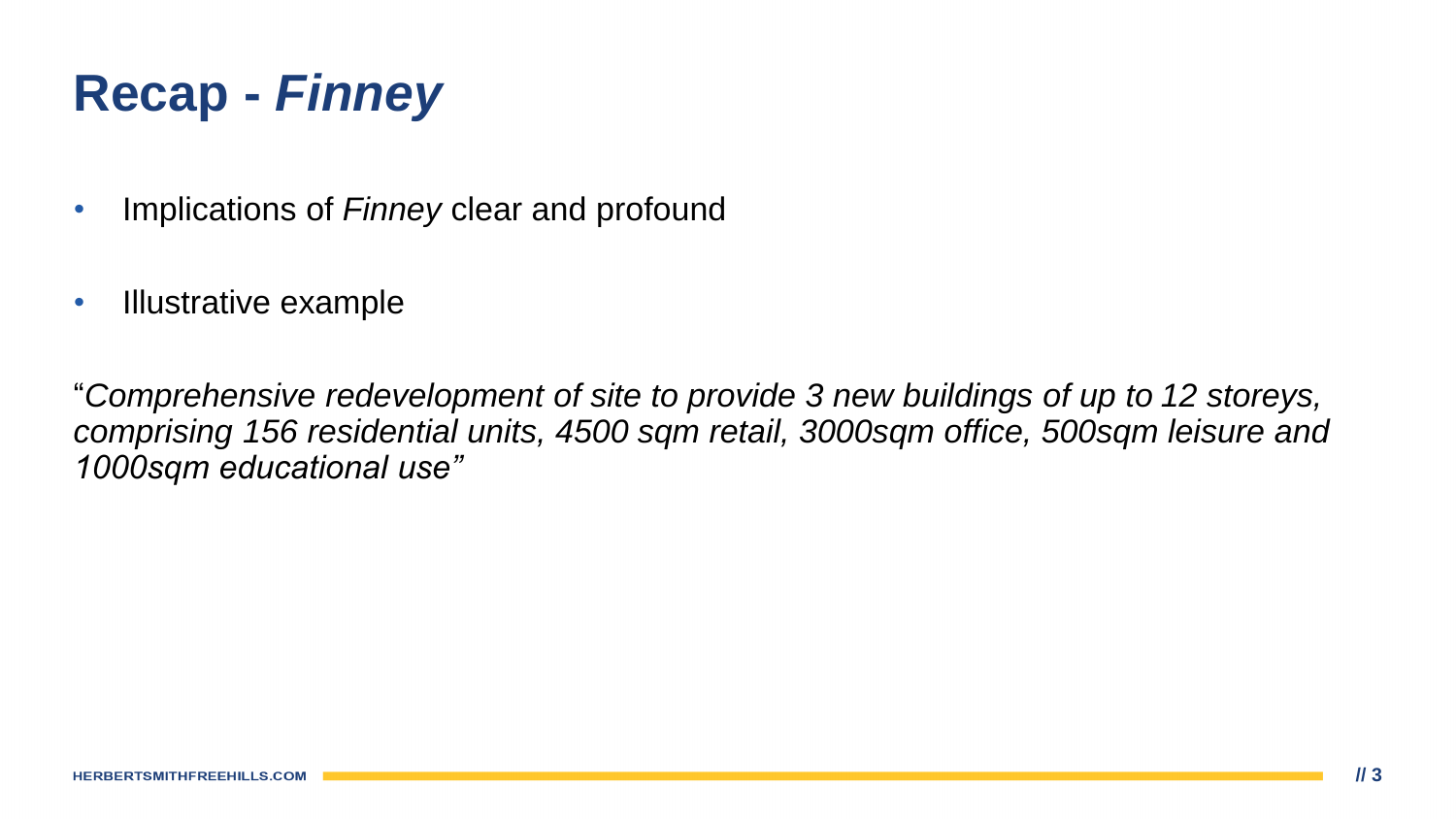- Implications of *Finney* clear and profound
- Illustrative example

"*Comprehensive redevelopment of site to provide 3 new buildings of up to 12 storeys, comprising 156 residential units, 4500 sqm retail, 3000sqm office, 500sqm leisure and 1000sqm educational use"*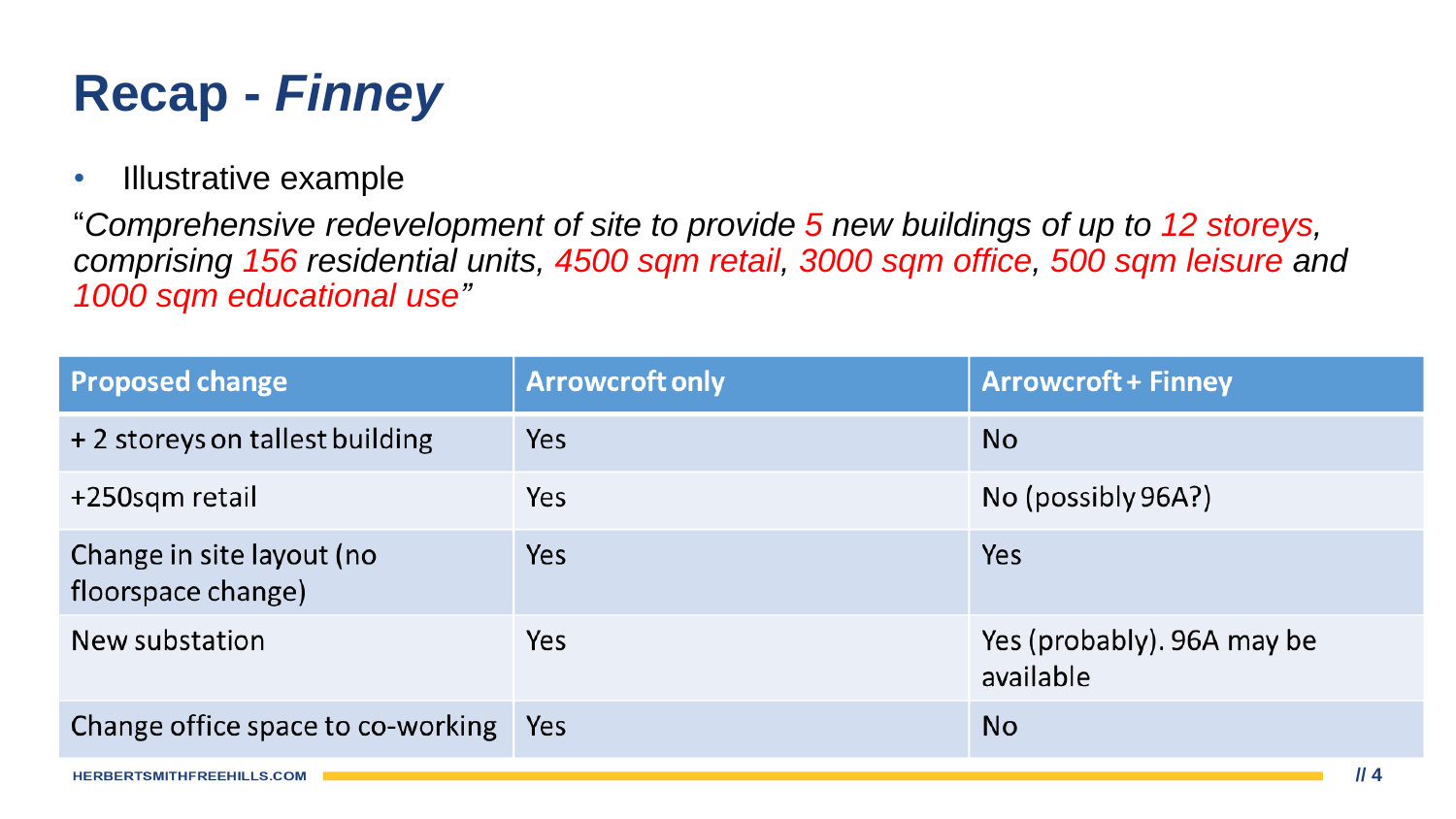• Illustrative example

"*Comprehensive redevelopment of site to provide 5 new buildings of up to 12 storeys, comprising 156 residential units, 4500 sqm retail, 3000 sqm office, 500 sqm leisure and 1000 sqm educational use"*

| <b>Proposed change</b>                          | <b>Arrowcroft only</b> | <b>Arrowcroft + Finney</b>              |
|-------------------------------------------------|------------------------|-----------------------------------------|
| + 2 storeys on tallest building                 | Yes                    | <b>No</b>                               |
| +250sqm retail                                  | Yes                    | No (possibly 96A?)                      |
| Change in site layout (no<br>floorspace change) | Yes                    | <b>Yes</b>                              |
| New substation                                  | Yes                    | Yes (probably). 96A may be<br>available |
| Change office space to co-working               | Yes                    | <b>No</b>                               |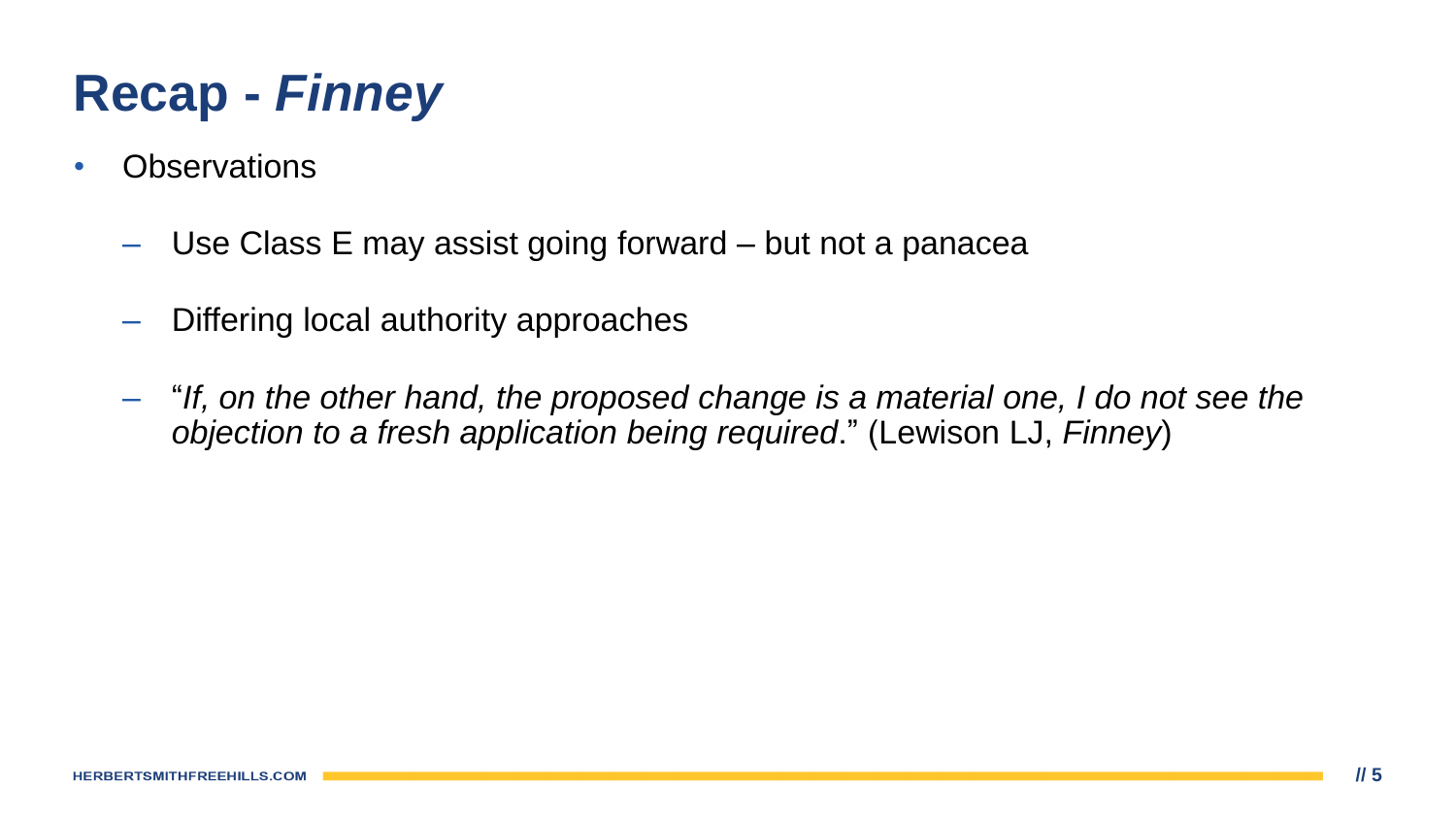- **Observations** 
	- Use Class E may assist going forward but not a panacea
	- Differing local authority approaches
	- "*If, on the other hand, the proposed change is a material one, I do not see the objection to a fresh application being required*." (Lewison LJ, *Finney*)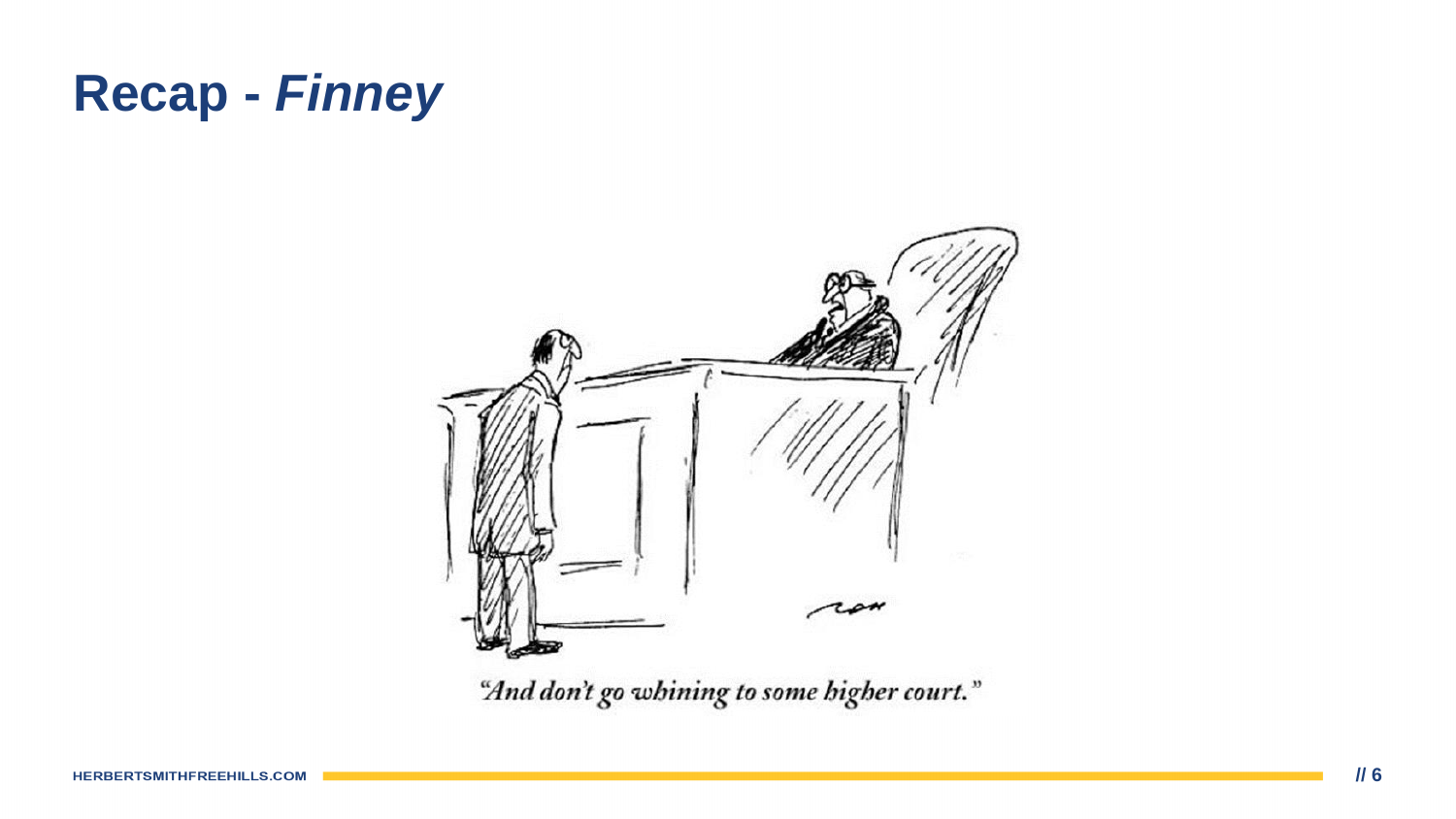

"And don't go whining to some higher court."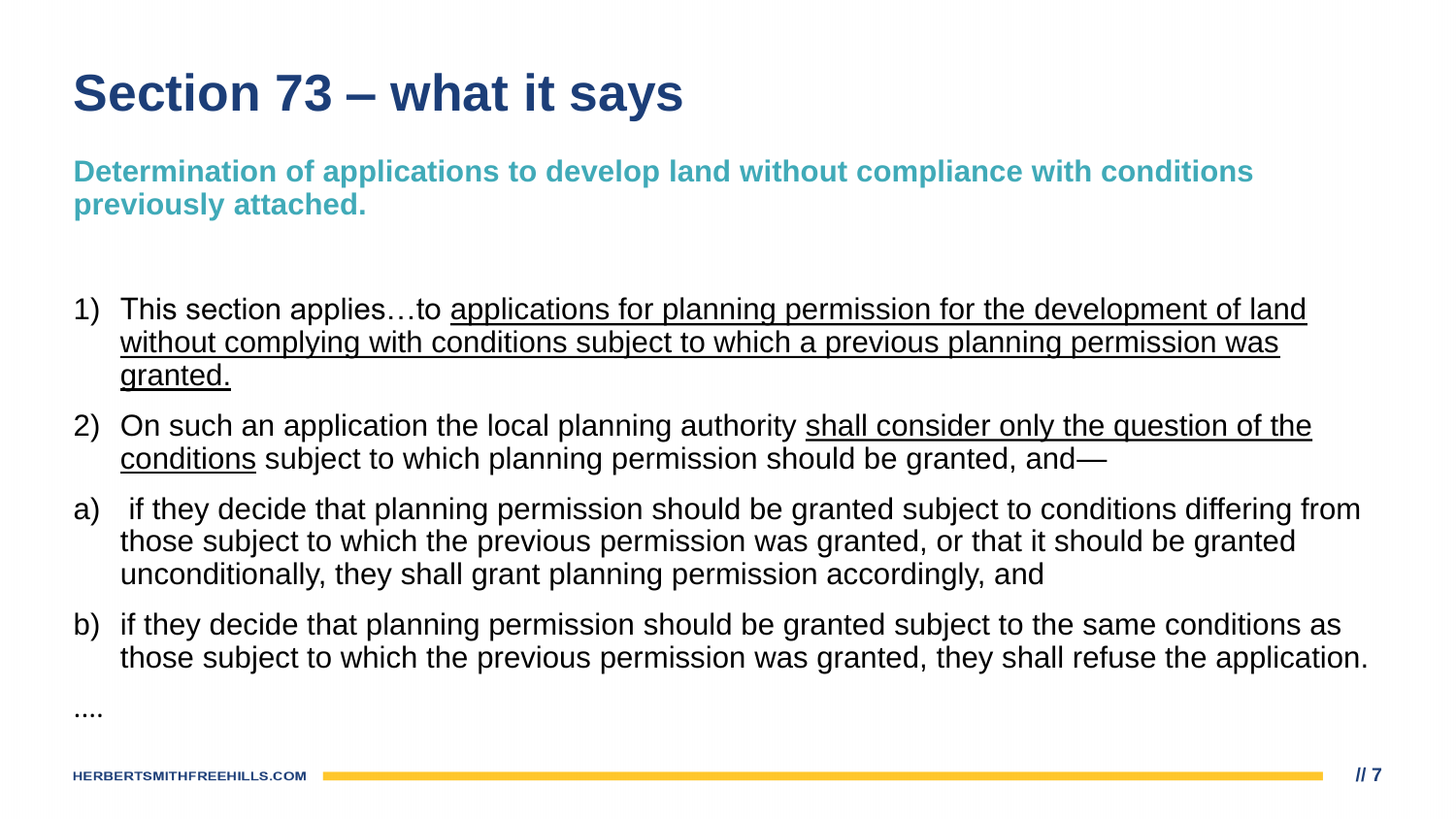## **Section 73 – what it says**

**Determination of applications to develop land without compliance with conditions previously attached.**

- 1) This section applies...to applications for planning permission for the development of land without complying with conditions subject to which a previous planning permission was granted.
- 2) On such an application the local planning authority shall consider only the question of the conditions subject to which planning permission should be granted, and—
- a) if they decide that planning permission should be granted subject to conditions differing from those subject to which the previous permission was granted, or that it should be granted unconditionally, they shall grant planning permission accordingly, and
- b) if they decide that planning permission should be granted subject to the same conditions as those subject to which the previous permission was granted, they shall refuse the application.

....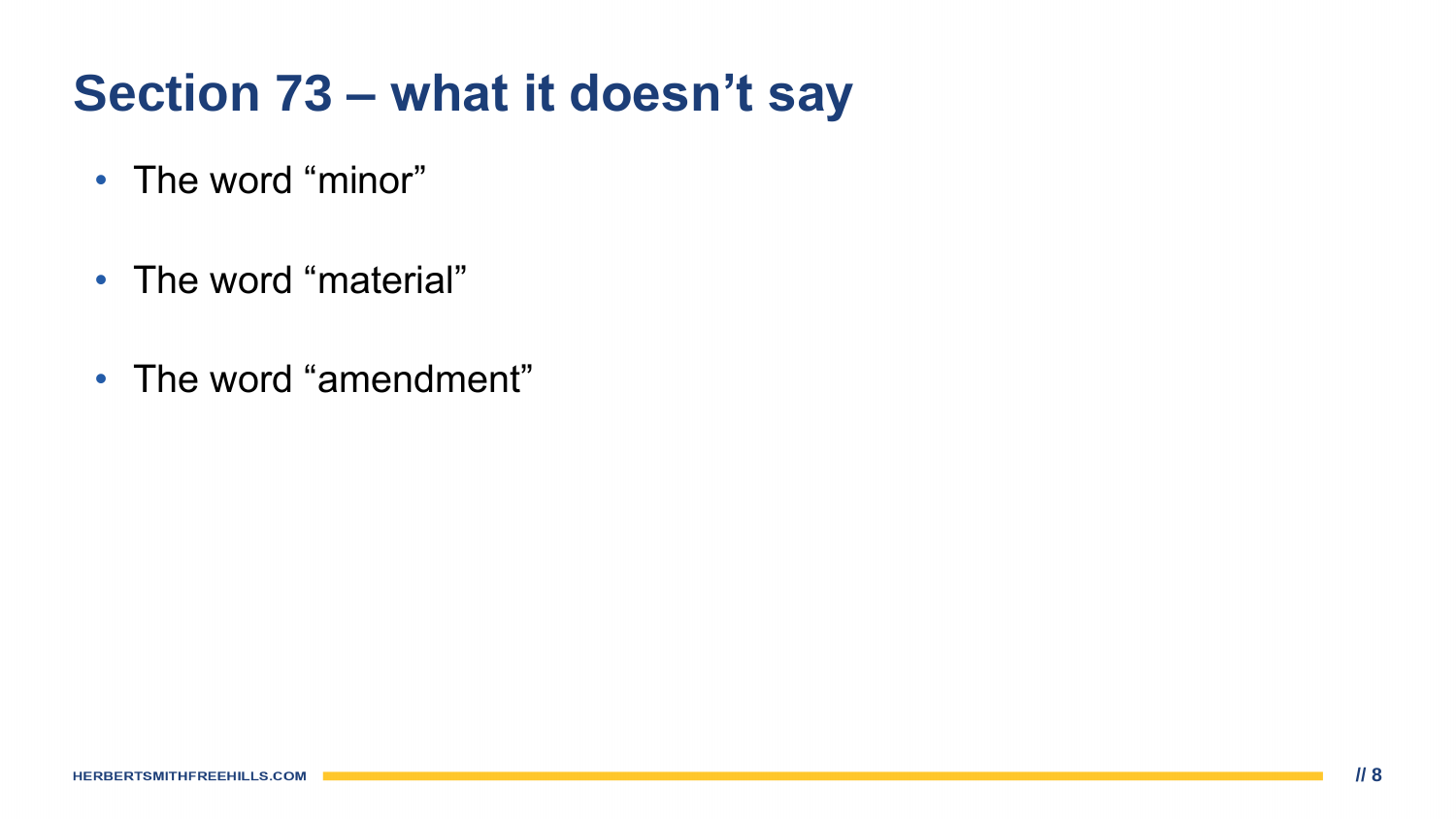## **Section 73 – what it doesn't say**

- The word "minor"
- The word "material"
- The word "amendment"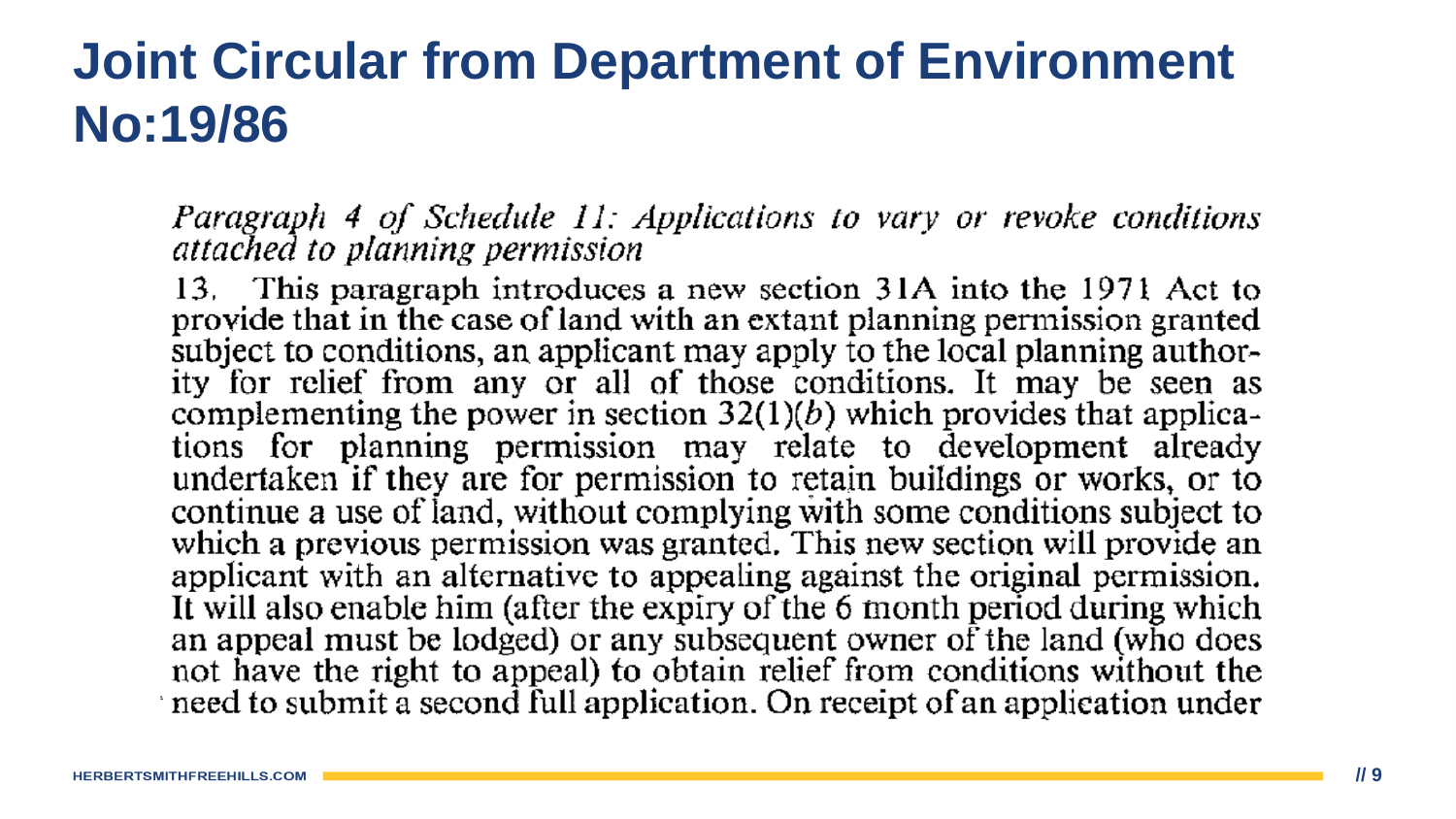#### **Joint Circular from Department of Environment No:19/86**

Paragraph 4 of Schedule 11: Applications to vary or revoke conditions attached to planning permission

13. This paragraph introduces a new section 31A into the 1971 Act to provide that in the case of land with an extant planning permission granted subject to conditions, an applicant may apply to the local planning authority for relief from any or all of those conditions. It may be seen as complementing the power in section  $32(1)(b)$  which provides that applications for planning permission may relate to development already undertaken if they are for permission to retain buildings or works, or to continue a use of land, without complying with some conditions subject to which a previous permission was granted. This new section will provide an applicant with an alternative to appealing against the original permission.<br>It will also enable him (after the expiry of the 6 month period during which an appeal must be lodged) or any subsequent owner of the land (who does not have the right to appeal) to obtain relief from conditions without the need to submit a second full application. On receipt of an application under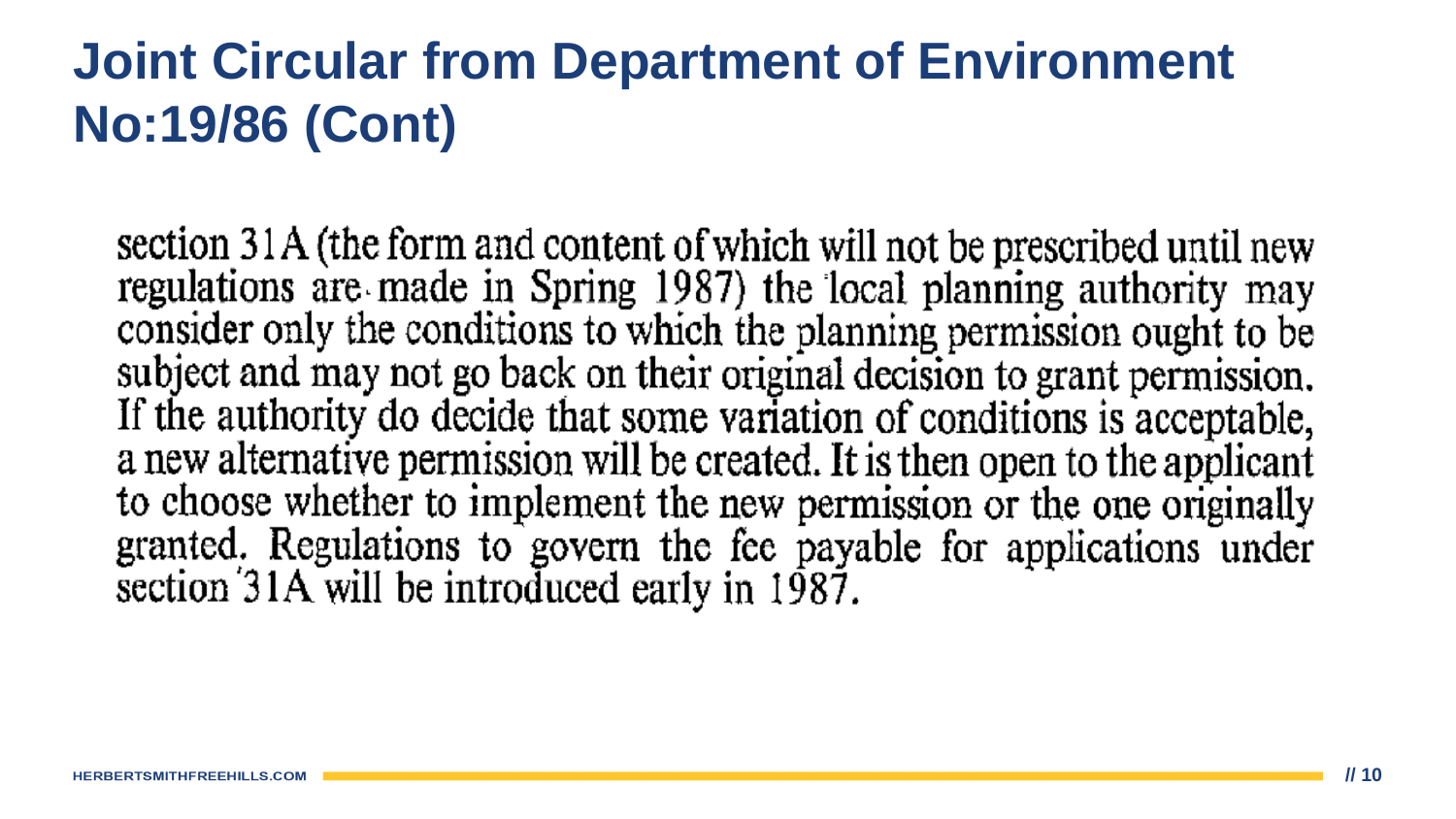## **Joint Circular from Department of Environment No:19/86 (Cont)**

section 31A (the form and content of which will not be prescribed until new regulations are made in Spring 1987) the local planning authority may<br>consider only the conditions to which the planning permission ought to be subject and may not go back on their original decision to grant permission. If the authority do decide that some variation of conditions is acceptable, a new alternative permission will be created. It is then open to the applicant to choose whether to implement the new permission or the one originally granted. Regulations to govern the fee payable for applications under section 31A will be introduced early in 1987.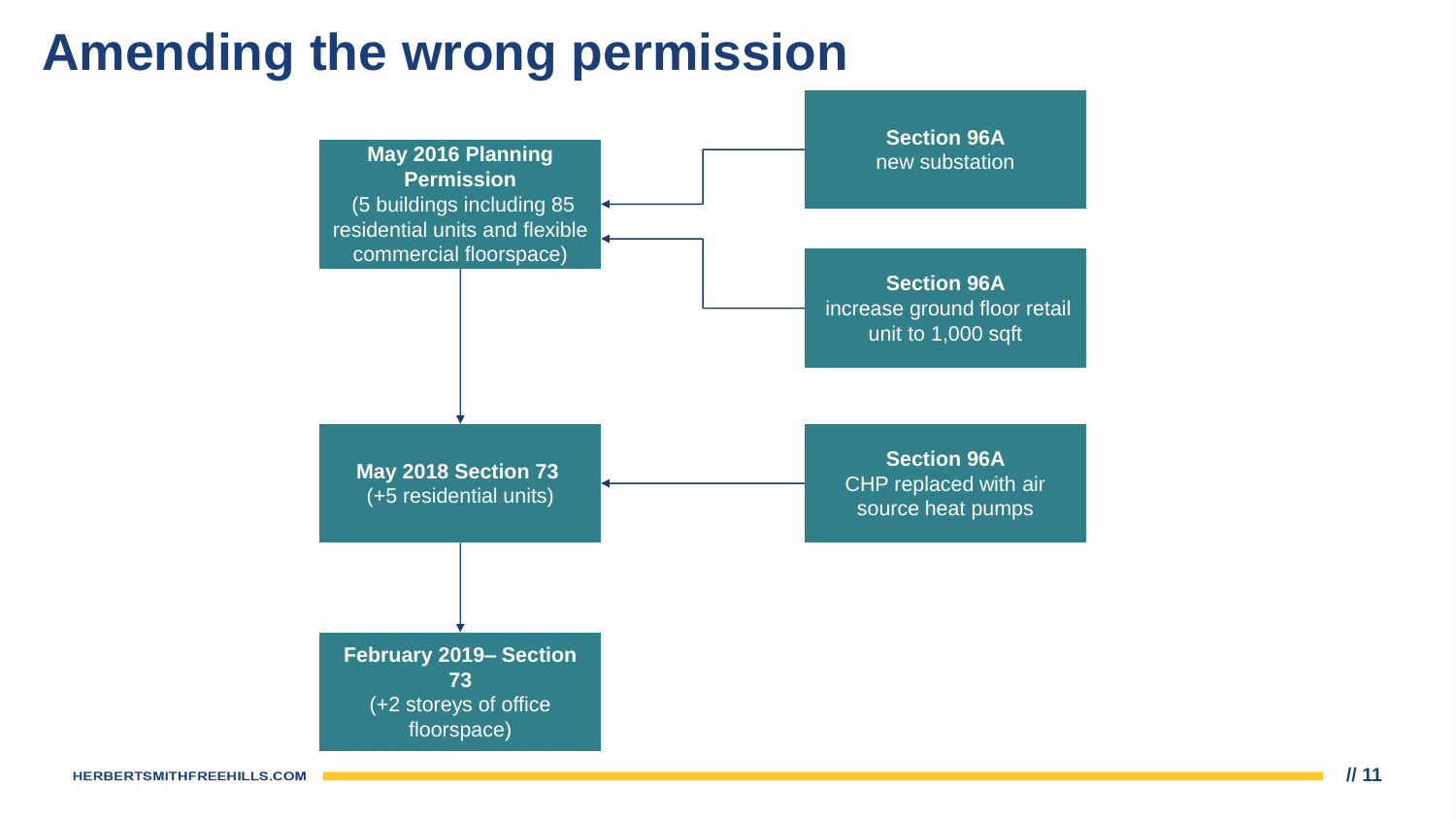## **Amending the wrong permission**



**HERBERTSMITHFREEHILLS.COM**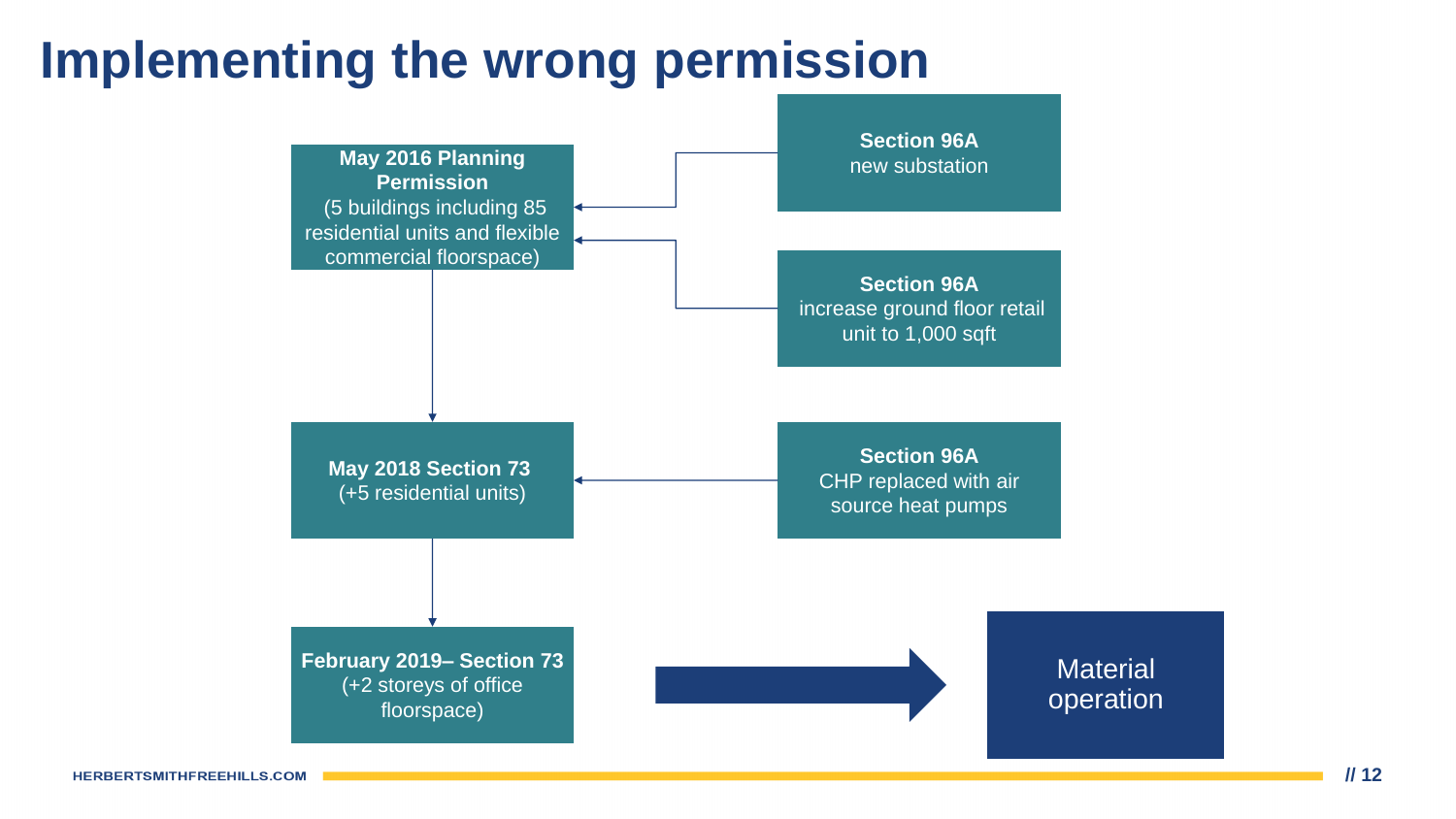#### **Implementing the wrong permission**

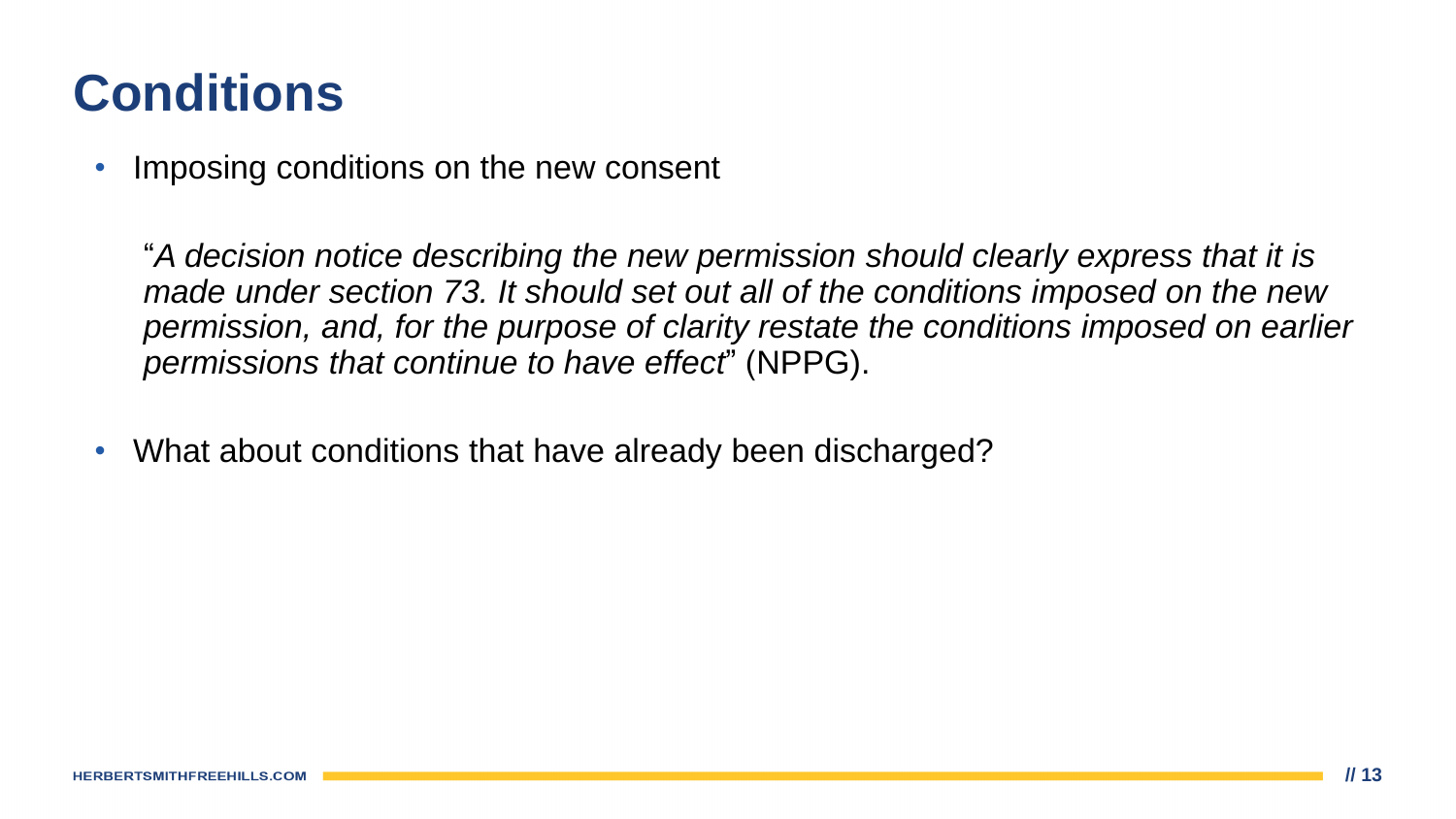### **Conditions**

Imposing conditions on the new consent

"*A decision notice describing the new permission should clearly express that it is made under section 73. It should set out all of the conditions imposed on the new permission, and, for the purpose of clarity restate the conditions imposed on earlier permissions that continue to have effect*" (NPPG).

• What about conditions that have already been discharged?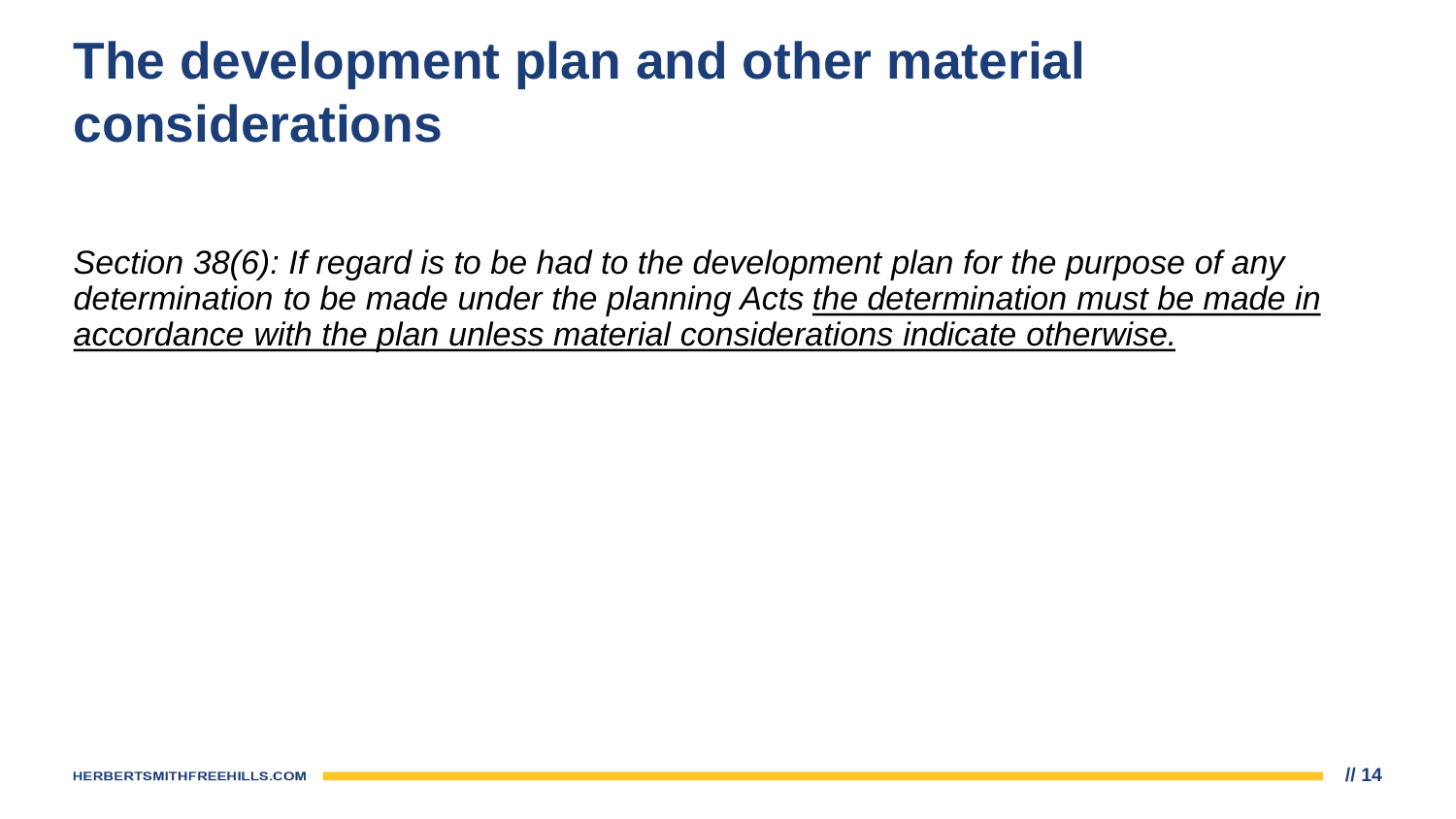### **The development plan and other material considerations**

*Section 38(6): If regard is to be had to the development plan for the purpose of any determination to be made under the planning Acts the determination must be made in accordance with the plan unless material considerations indicate otherwise.*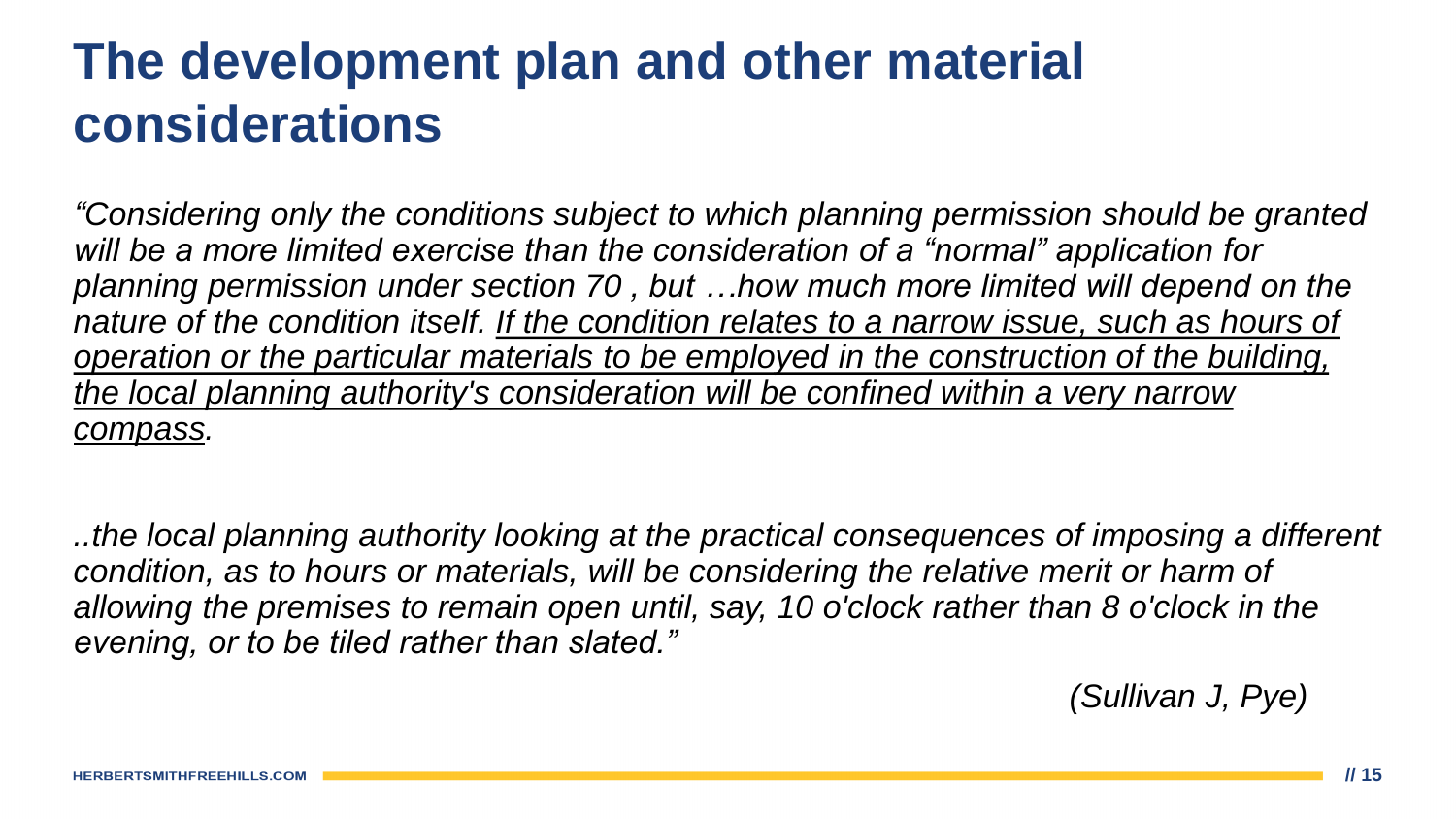### **The development plan and other material considerations**

*"Considering only the conditions subject to which planning permission should be granted*  will be a more limited exercise than the consideration of a "normal" application for *planning permission under section 70 , but …how much more limited will depend on the*  nature of the condition itself. If the condition relates to a narrow issue, such as hours of *operation or the particular materials to be employed in the construction of the building, the local planning authority's consideration will be confined within a very narrow compass.*

*..the local planning authority looking at the practical consequences of imposing a different condition, as to hours or materials, will be considering the relative merit or harm of allowing the premises to remain open until, say, 10 o'clock rather than 8 o'clock in the evening, or to be tiled rather than slated."*

*(Sullivan J, Pye)*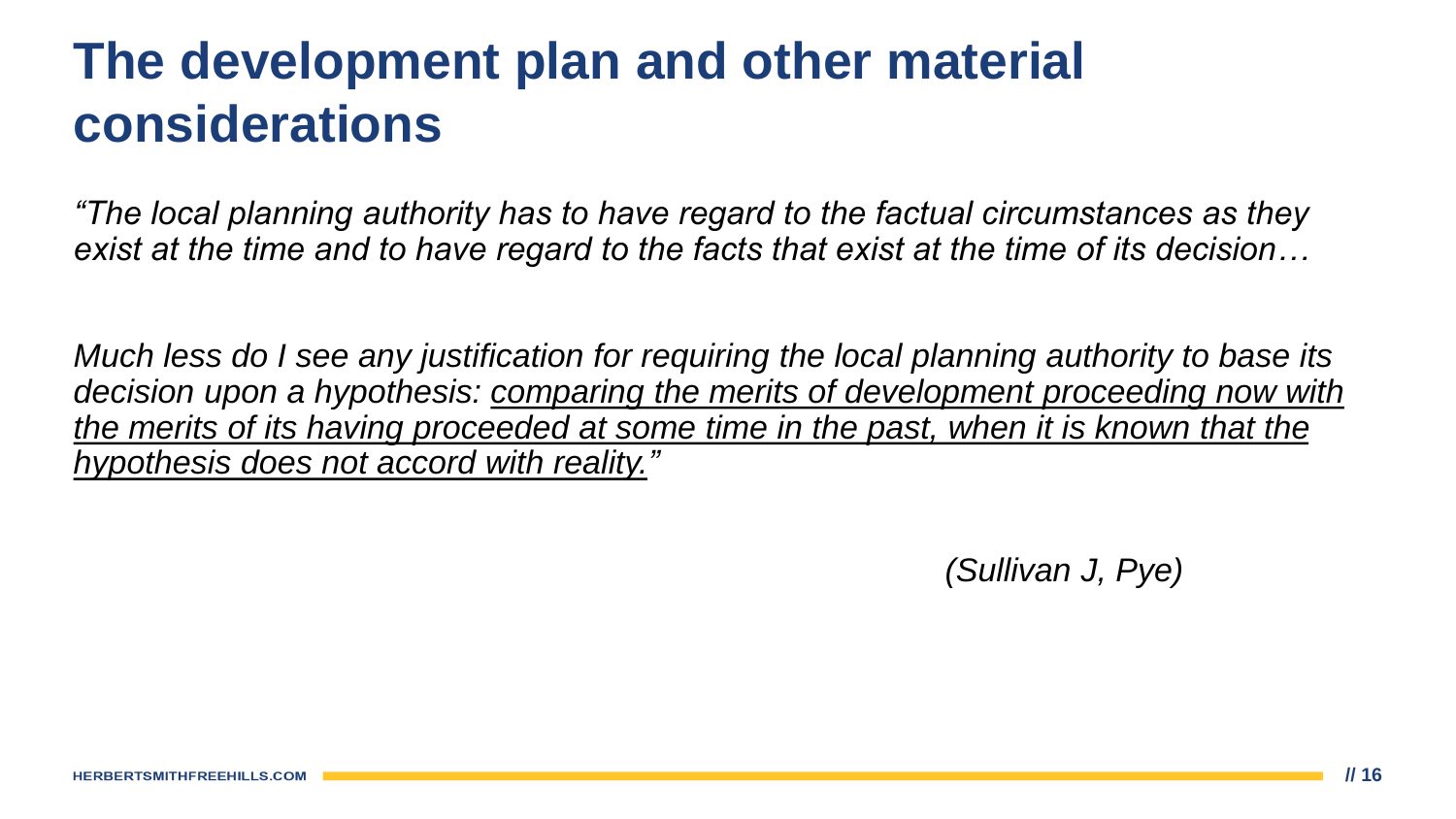### **The development plan and other material considerations**

*"The local planning authority has to have regard to the factual circumstances as they exist at the time and to have regard to the facts that exist at the time of its decision…*

*Much less do I see any justification for requiring the local planning authority to base its*  decision upon a hypothesis: comparing the merits of development proceeding now with *the merits of its having proceeded at some time in the past, when it is known that the hypothesis does not accord with reality."*

*(Sullivan J, Pye)*